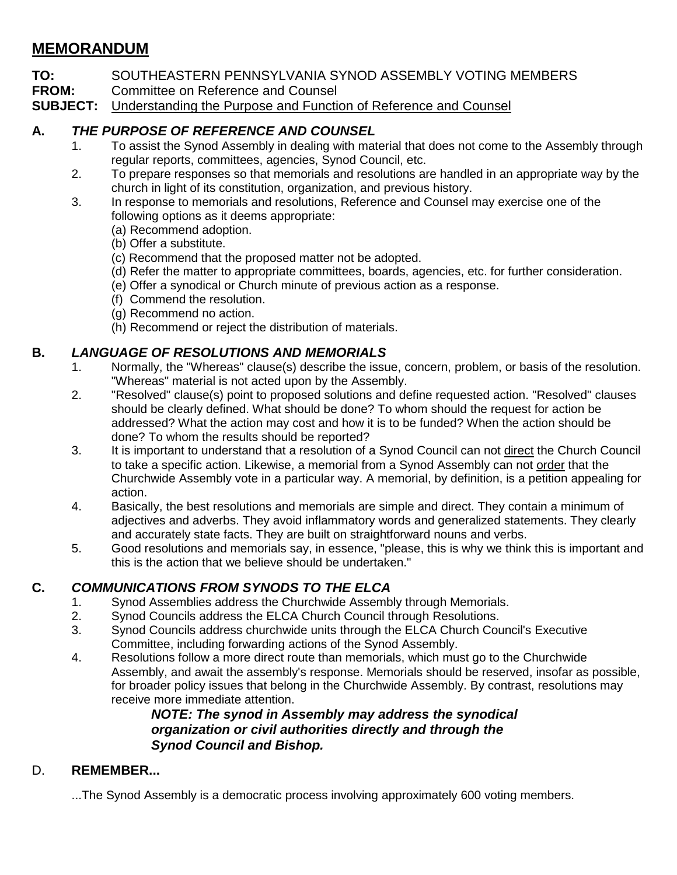# **MEMORANDUM**

- **TO:** SOUTHEASTERN PENNSYLVANIA SYNOD ASSEMBLY VOTING MEMBERS
- **FROM:** Committee on Reference and Counsel<br>**SUBJECT:** Understanding the Purpose and Function
- Understanding the Purpose and Function of Reference and Counsel

## **A.** *THE PURPOSE OF REFERENCE AND COUNSEL*

- 1. To assist the Synod Assembly in dealing with material that does not come to the Assembly through regular reports, committees, agencies, Synod Council, etc.
- 2. To prepare responses so that memorials and resolutions are handled in an appropriate way by the church in light of its constitution, organization, and previous history.
- 3. In response to memorials and resolutions, Reference and Counsel may exercise one of the following options as it deems appropriate:
	- (a) Recommend adoption.
	- (b) Offer a substitute.
	- (c) Recommend that the proposed matter not be adopted.
	- (d) Refer the matter to appropriate committees, boards, agencies, etc. for further consideration.
	- (e) Offer a synodical or Church minute of previous action as a response.
	- (f) Commend the resolution.
	- (g) Recommend no action.
	- (h) Recommend or reject the distribution of materials.

## **B.** *LANGUAGE OF RESOLUTIONS AND MEMORIALS*

- 1. Normally, the "Whereas" clause(s) describe the issue, concern, problem, or basis of the resolution. "Whereas" material is not acted upon by the Assembly.
- 2. "Resolved" clause(s) point to proposed solutions and define requested action. "Resolved" clauses should be clearly defined. What should be done? To whom should the request for action be addressed? What the action may cost and how it is to be funded? When the action should be done? To whom the results should be reported?
- 3. It is important to understand that a resolution of a Synod Council can not direct the Church Council to take a specific action. Likewise, a memorial from a Synod Assembly can not order that the Churchwide Assembly vote in a particular way. A memorial, by definition, is a petition appealing for action.
- 4. Basically, the best resolutions and memorials are simple and direct. They contain a minimum of adjectives and adverbs. They avoid inflammatory words and generalized statements. They clearly and accurately state facts. They are built on straightforward nouns and verbs.
- 5. Good resolutions and memorials say, in essence, "please, this is why we think this is important and this is the action that we believe should be undertaken."

## **C.** *COMMUNICATIONS FROM SYNODS TO THE ELCA*

- 1. Synod Assemblies address the Churchwide Assembly through Memorials.
- 2. Synod Councils address the ELCA Church Council through Resolutions.
- 3. Synod Councils address churchwide units through the ELCA Church Council's Executive Committee, including forwarding actions of the Synod Assembly.
- 4. Resolutions follow a more direct route than memorials, which must go to the Churchwide Assembly, and await the assembly's response. Memorials should be reserved, insofar as possible, for broader policy issues that belong in the Churchwide Assembly. By contrast, resolutions may receive more immediate attention.

## *NOTE: The synod in Assembly may address the synodical organization or civil authorities directly and through the Synod Council and Bishop.*

## D. **REMEMBER...**

...The Synod Assembly is a democratic process involving approximately 600 voting members.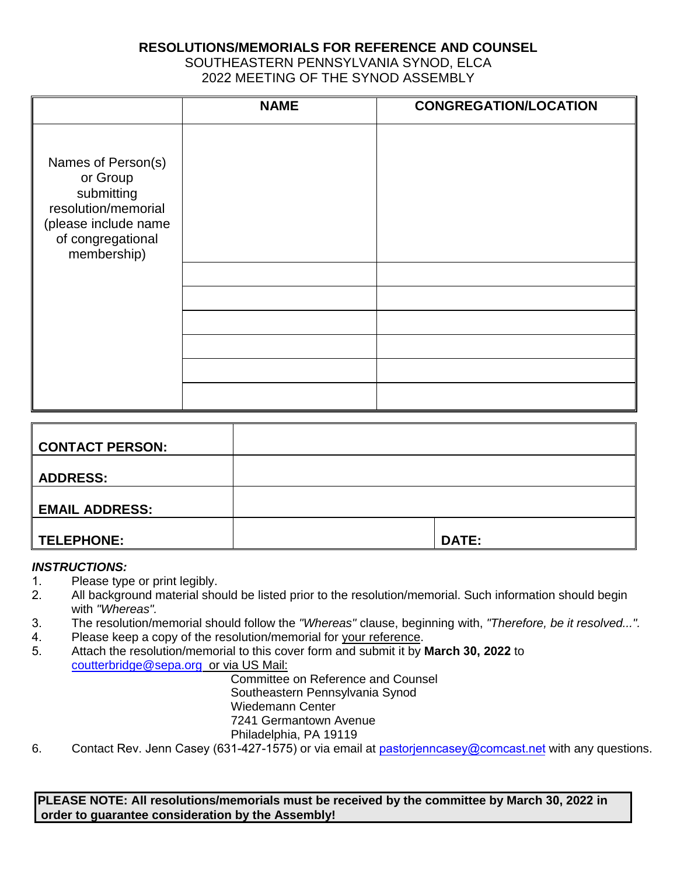### **RESOLUTIONS/MEMORIALS FOR REFERENCE AND COUNSEL**

SOUTHEASTERN PENNSYLVANIA SYNOD, ELCA 2022 MEETING OF THE SYNOD ASSEMBLY

|                                                                                                                                 | <b>NAME</b> | <b>CONGREGATION/LOCATION</b> |
|---------------------------------------------------------------------------------------------------------------------------------|-------------|------------------------------|
| Names of Person(s)<br>or Group<br>submitting<br>resolution/memorial<br>(please include name<br>of congregational<br>membership) |             |                              |
|                                                                                                                                 |             |                              |
|                                                                                                                                 |             |                              |
|                                                                                                                                 |             |                              |
|                                                                                                                                 |             |                              |
|                                                                                                                                 |             |                              |
|                                                                                                                                 |             |                              |

| <b>CONTACT PERSON:</b> |              |
|------------------------|--------------|
| <b>ADDRESS:</b>        |              |
| <b>EMAIL ADDRESS:</b>  |              |
| TELEPHONE:             | <b>DATE:</b> |

#### *INSTRUCTIONS:*

- 1. Please type or print legibly.
- 2. All background material should be listed prior to the resolution/memorial. Such information should begin with *"Whereas".*
- 3. The resolution/memorial should follow the *"Whereas"* clause, beginning with, *"Therefore, be it resolved...".*
- 4. Please keep a copy of the resolution/memorial for your reference.
- 5. Attach the resolution/memorial to this cover form and submit it by **March 30, 2022** to [coutterbridge@sepa.org](mailto:coutterbridge@sepa.org) or via US Mail:

Committee on Reference and Counsel Southeastern Pennsylvania Synod

Wiedemann Center

7241 Germantown Avenue

Philadelphia, PA 19119

6. Contact Rev. Jenn Casey (631-427-1575) or via email at pastorienncasey@comcast.net with any questions.

**PLEASE NOTE: All resolutions/memorials must be received by the committee by March 30, 2022 in order to guarantee consideration by the Assembly!**